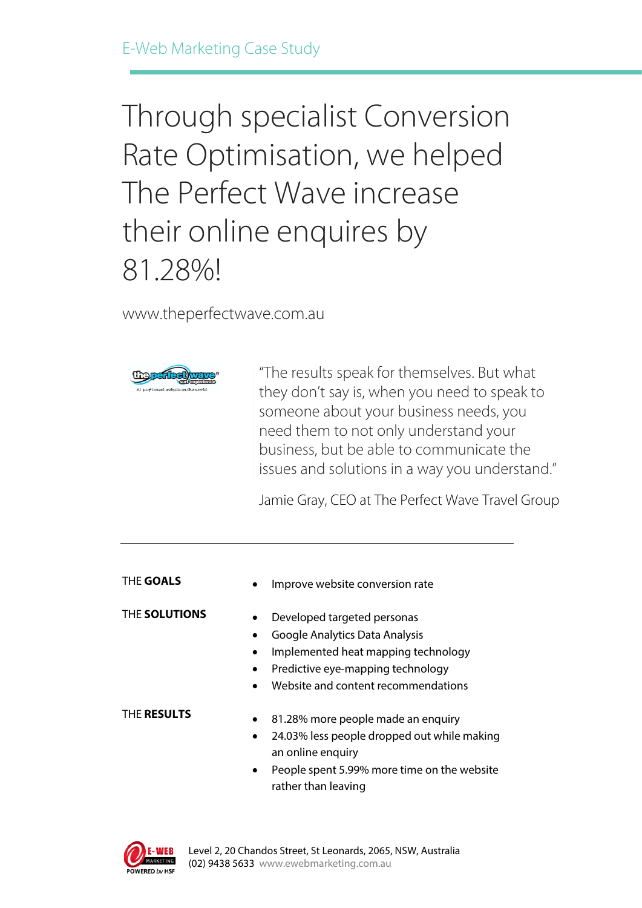# Through specialist Conversion Rate Optimisation, we helped The Perfect Wave increase their online enquires by 81.28%!

www.theperfectwave.com.au



"The results speak for themselves. But what they don't say is, when you need to speak to someone about your business needs, you need them to not only understand your business, but be able to communicate the issues and solutions in a way you understand."

Jamie Gray, CEO at The Perfect Wave Travel Group

Improve website conversion rate

THE **SOLUTIONS**

- Developed targeted personas
- Google Analytics Data Analysis
- Implemented heat mapping technology
- Predictive eye-mapping technology
- Website and content recommendations

#### THE **RESULTS**

- 81.28% more people made an enquiry
- 24.03% less people dropped out while making an online enquiry
- People spent 5.99% more time on the website rather than leaving

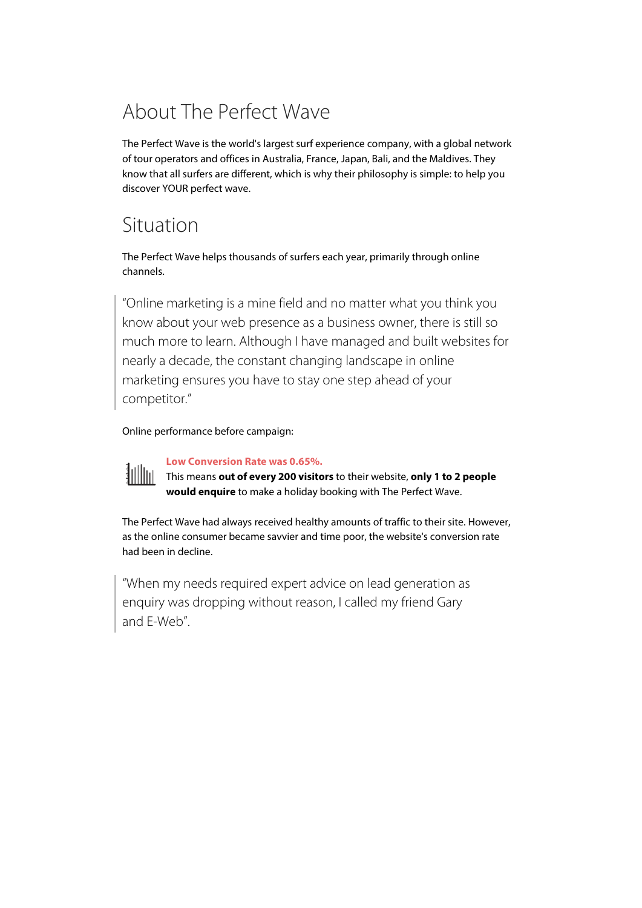# About The Perfect Wave

The Perfect Wave is the world's largest surf experience company, with a global network of tour operators and offices in Australia, France, Japan, Bali, and the Maldives. They know that all surfers are different, which is why their philosophy is simple: to help you discover YOUR perfect wave.

### Situation

The Perfect Wave helps thousands of surfers each year, primarily through online channels.

"Online marketing is a mine field and no matter what you think you know about your web presence as a business owner, there is still so much more to learn. Although I have managed and built websites for nearly a decade, the constant changing landscape in online marketing ensures you have to stay one step ahead of your competitor."

Online performance before campaign:



**Low Conversion Rate was 0.65%.**

This means **out of every 200 visitors** to their website, **only 1 to 2 people would enquire** to make a holiday booking with The Perfect Wave.

The Perfect Wave had always received healthy amounts of traffic to their site. However, as the online consumer became savvier and time poor, the website's conversion rate had been in decline.

"When my needs required expert advice on lead generation as enquiry was dropping without reason, I called my friend Gary and E-Web".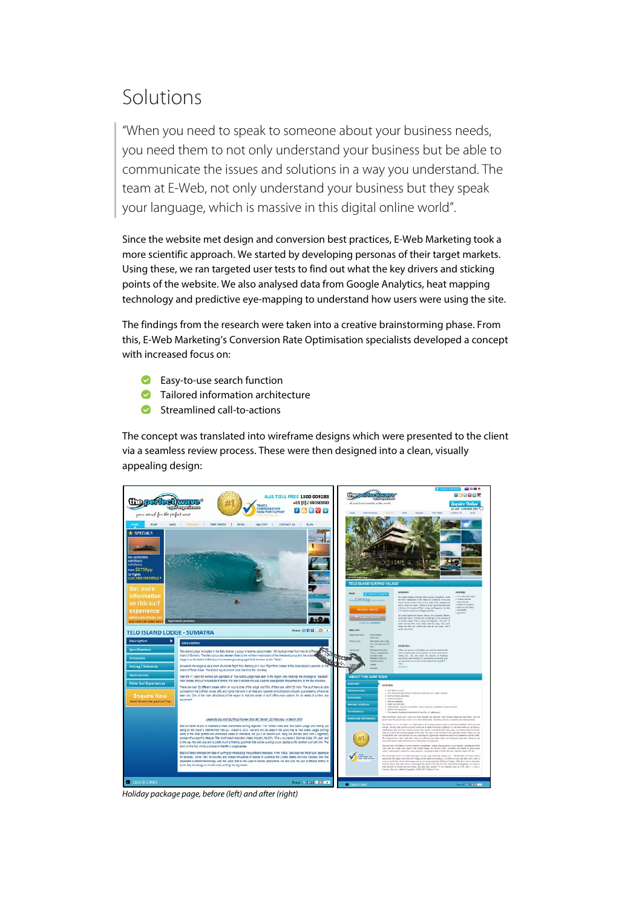## Solutions

"When you need to speak to someone about your business needs, you need them to not only understand your business but be able to communicate the issues and solutions in a way you understand. The team at E-Web, not only understand your business but they speak your language, which is massive in this digital online world".

Since the website met design and conversion best practices, E-Web Marketing took a more scientific approach. We started by developing personas of their target markets. Using these, we ran targeted user tests to find out what the key drivers and sticking points of the website. We also analysed data from Google Analytics, heat mapping technology and predictive eye-mapping to understand how users were using the site.

The findings from the research were taken into a creative brainstorming phase. From this, E-Web Marketing's Conversion Rate Optimisation specialists developed a concept with increased focus on:

- **Easy-to-use search function**
- **Tailored information architecture**
- $\bullet$ Streamlined call-to-actions

The concept was translated into wireframe designs which were presented to the client via a seamless review process. These were then designed into a clean, visually appealing design:



*Holiday package page, before (left) and after (right)*